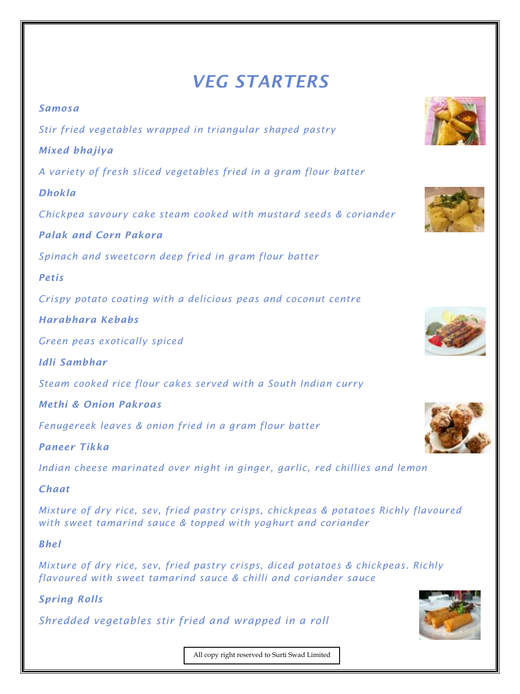## *VEG STARTERS*

*Samosa Stir fried vegetables wrapped in triangular shaped pastry Mixed bhajiya A variety of fresh sliced vegetables fried in a gram flour batter Dhokla Chickpea savoury cake steam cooked with mustard seeds & coriander Palak and Corn Pakora Spinach and sweetcorn deep fried in gram flour batter Petis Crispy potato coating with a delicious peas and coconut centre Harabhara Kebabs Green peas exotically spiced Idli Sambhar Steam cooked rice flour cakes served with a South Indian curry Methi & Onion Pakroas Fenugereek leaves & onion fried in a gram flour batter Paneer Tikka Indian cheese marinated over night in ginger, garlic, red chillies and lemon Chaat Mixture of dry rice, sev, fried pastry crisps, chickpeas & potatoes Richly flavoured with sweet tamarind sauce & topped with yoghurt and coriander*

*Bhel*

*Mixture of dry rice, sev, fried pastry crisps, diced potatoes & chickpeas. Richly flavoured with sweet tamarind sauce & chilli and coriander sauce*

## *Spring Rolls*

*Shredded vegetables stir fried and wrapped in a roll*











All copy right reserved to Surti Swad Limited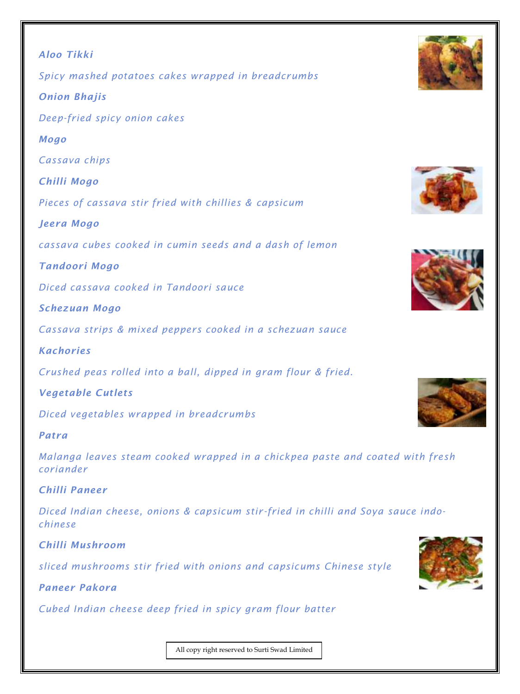| <b>Aloo Tikki</b>                                              |  |
|----------------------------------------------------------------|--|
| Spicy mashed potatoes cakes wrapped in breadcrumbs             |  |
| <b>Onion Bhajis</b>                                            |  |
| Deep-fried spicy onion cakes                                   |  |
| <b>Mogo</b>                                                    |  |
| Cassava chips                                                  |  |
| Chilli Mogo                                                    |  |
| Pieces of cassava stir fried with chillies & capsicum          |  |
| Jeera Mogo                                                     |  |
| cassava cubes cooked in cumin seeds and a dash of lemon        |  |
| Tandoori Mogo                                                  |  |
| Diced cassava cooked in Tandoori sauce                         |  |
| <b>Schezuan Mogo</b>                                           |  |
| Cassava strips & mixed peppers cooked in a schezuan sauce      |  |
| <b>Kachories</b>                                               |  |
| Crushed peas rolled into a ball, dipped in gram flour & fried. |  |
| <b>Vegetable Cutlets</b>                                       |  |
| Diced vegetables wrapped in breadcrumbs                        |  |
| Patra                                                          |  |
|                                                                |  |

*Malanga leaves steam cooked wrapped in a chickpea paste and coated with fresh coriander*

*Chilli Paneer*

*Diced Indian cheese, onions & capsicum stir-fried in chilli and Soya sauce indochinese*

*Chilli Mushroom*

*sliced mushrooms stir fried with onions and capsicums Chinese style*

*Paneer Pakora*

*Cubed Indian cheese deep fried in spicy gram flour batter*







All copy right reserved to Surti Swad Limited